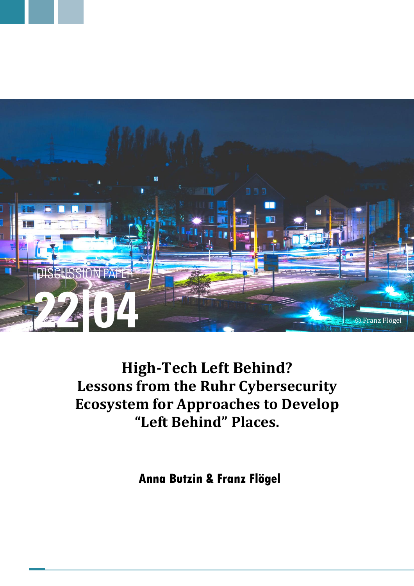

# **High-Tech Left Behind? Lessons from the Ruhr Cybersecurity Ecosystem for Approaches to Develop "Left Behind" Places.**

**Anna Butzin & Franz Flögel**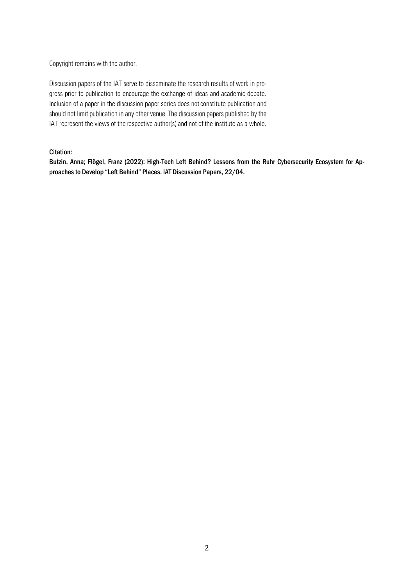Copyright remains with the author.

Discussion papers of the IAT serve to disseminate the research results of work in progress prior to publication to encourage the exchange of ideas and academic debate. Inclusion of a paper in the discussion paper series does not constitute publication and should not limit publication in any other venue. The discussion papers published by the IAT represent the views of the respective author(s) and not of the institute as a whole.

# Citation:

Butzin, Anna; Flögel, Franz (2022): High-Tech Left Behind? Lessons from the Ruhr Cybersecurity Ecosystem for Approaches to Develop "Left Behind" Places. IAT Discussion Papers, 22/04.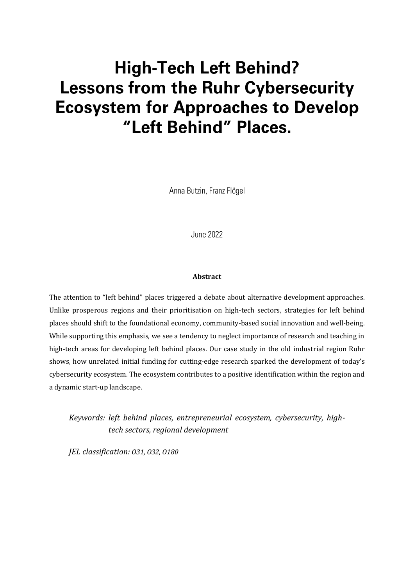# **High-Tech Left Behind? Lessons from the Ruhr Cybersecurity Ecosystem for Approaches to Develop** "Left Behind" Places.

Anna Butzin, Franz Flögel

June 2022

#### **Abstract**

The attention to "left behind" places triggered a debate about alternative development approaches. Unlike prosperous regions and their prioritisation on high-tech sectors, strategies for left behind places should shift to the foundational economy, community-based social innovation and well-being. While supporting this emphasis, we see a tendency to neglect importance of research and teaching in high-tech areas for developing left behind places. Our case study in the old industrial region Ruhr shows, how unrelated initial funding for cutting-edge research sparked the development of today's cybersecurity ecosystem. The ecosystem contributes to a positive identification within the region and a dynamic start-up landscape.

*Keywords: left behind places, entrepreneurial ecosystem, cybersecurity, hightech sectors, regional development*

*JEL classification: O31, O32, O180*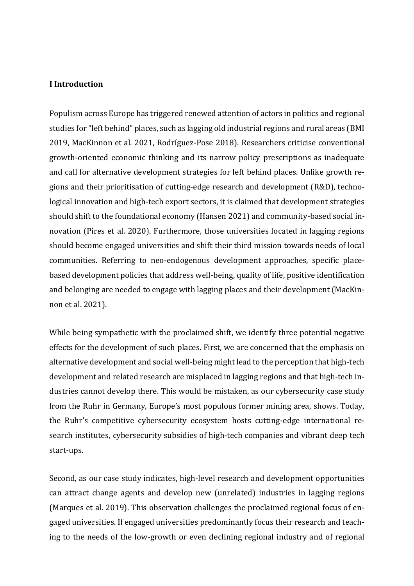## **I Introduction**

Populism across Europe has triggered renewed attention of actors in politics and regional studies for "left behind" places, such as lagging old industrial regions and rural areas (BMI 2019, MacKinnon et al. 2021, Rodríguez-Pose 2018). Researchers criticise conventional growth-oriented economic thinking and its narrow policy prescriptions as inadequate and call for alternative development strategies for left behind places. Unlike growth regions and their prioritisation of cutting-edge research and development (R&D), technological innovation and high-tech export sectors, it is claimed that development strategies should shift to the foundational economy (Hansen 2021) and community-based social innovation (Pires et al. 2020). Furthermore, those universities located in lagging regions should become engaged universities and shift their third mission towards needs of local communities. Referring to neo-endogenous development approaches, specific placebased development policies that address well-being, quality of life, positive identification and belonging are needed to engage with lagging places and their development (MacKinnon et al. 2021).

While being sympathetic with the proclaimed shift, we identify three potential negative effects for the development of such places. First, we are concerned that the emphasis on alternative development and social well-being might lead to the perception that high-tech development and related research are misplaced in lagging regions and that high-tech industries cannot develop there. This would be mistaken, as our cybersecurity case study from the Ruhr in Germany, Europe's most populous former mining area, shows. Today, the Ruhr's competitive cybersecurity ecosystem hosts cutting-edge international research institutes, cybersecurity subsidies of high-tech companies and vibrant deep tech start-ups.

Second, as our case study indicates, high-level research and development opportunities can attract change agents and develop new (unrelated) industries in lagging regions (Marques et al. 2019). This observation challenges the proclaimed regional focus of engaged universities. If engaged universities predominantly focus their research and teaching to the needs of the low-growth or even declining regional industry and of regional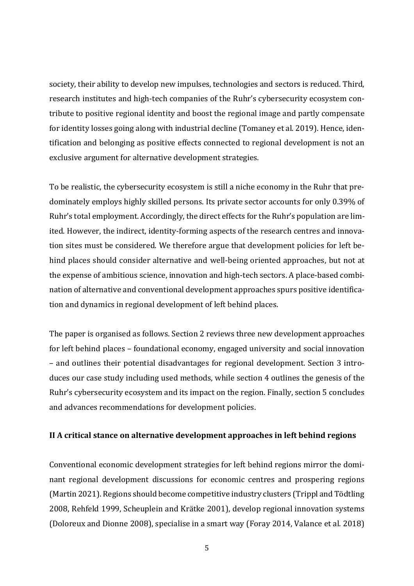society, their ability to develop new impulses, technologies and sectors is reduced. Third, research institutes and high-tech companies of the Ruhr's cybersecurity ecosystem contribute to positive regional identity and boost the regional image and partly compensate for identity losses going along with industrial decline (Tomaney et al. 2019). Hence, identification and belonging as positive effects connected to regional development is not an exclusive argument for alternative development strategies.

To be realistic, the cybersecurity ecosystem is still a niche economy in the Ruhr that predominately employs highly skilled persons. Its private sector accounts for only 0.39% of Ruhr's total employment. Accordingly, the direct effects for the Ruhr's population are limited. However, the indirect, identity-forming aspects of the research centres and innovation sites must be considered. We therefore argue that development policies for left behind places should consider alternative and well-being oriented approaches, but not at the expense of ambitious science, innovation and high-tech sectors. A place-based combination of alternative and conventional development approaches spurs positive identification and dynamics in regional development of left behind places.

The paper is organised as follows. Section 2 reviews three new development approaches for left behind places – foundational economy, engaged university and social innovation – and outlines their potential disadvantages for regional development. Section 3 introduces our case study including used methods, while section 4 outlines the genesis of the Ruhr's cybersecurity ecosystem and its impact on the region. Finally, section 5 concludes and advances recommendations for development policies.

## **II A critical stance on alternative development approaches in left behind regions**

Conventional economic development strategies for left behind regions mirror the dominant regional development discussions for economic centres and prospering regions (Martin 2021). Regions should become competitive industry clusters (Trippl and Tödtling 2008, Rehfeld 1999, Scheuplein and Krätke 2001), develop regional innovation systems (Doloreux and Dionne 2008), specialise in a smart way (Foray 2014, Valance et al. 2018)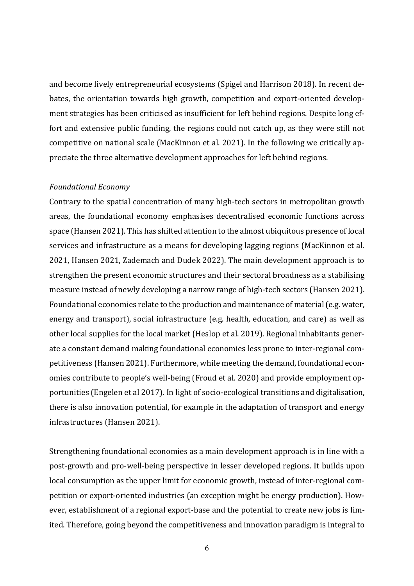and become lively entrepreneurial ecosystems (Spigel and Harrison 2018). In recent debates, the orientation towards high growth, competition and export-oriented development strategies has been criticised as insufficient for left behind regions. Despite long effort and extensive public funding, the regions could not catch up, as they were still not competitive on national scale (MacKinnon et al. 2021). In the following we critically appreciate the three alternative development approaches for left behind regions.

#### *Foundational Economy*

Contrary to the spatial concentration of many high-tech sectors in metropolitan growth areas, the foundational economy emphasises decentralised economic functions across space (Hansen 2021). This has shifted attention to the almost ubiquitous presence of local services and infrastructure as a means for developing lagging regions (MacKinnon et al. 2021, Hansen 2021, Zademach and Dudek 2022). The main development approach is to strengthen the present economic structures and their sectoral broadness as a stabilising measure instead of newly developing a narrow range of high-tech sectors (Hansen 2021). Foundational economies relate to the production and maintenance of material (e.g. water, energy and transport), social infrastructure (e.g. health, education, and care) as well as other local supplies for the local market (Heslop et al. 2019). Regional inhabitants generate a constant demand making foundational economies less prone to inter-regional competitiveness (Hansen 2021). Furthermore, while meeting the demand, foundational economies contribute to people's well-being (Froud et al. 2020) and provide employment opportunities (Engelen et al 2017). In light of socio-ecological transitions and digitalisation, there is also innovation potential, for example in the adaptation of transport and energy infrastructures (Hansen 2021).

Strengthening foundational economies as a main development approach is in line with a post-growth and pro-well-being perspective in lesser developed regions. It builds upon local consumption as the upper limit for economic growth, instead of inter-regional competition or export-oriented industries (an exception might be energy production). However, establishment of a regional export-base and the potential to create new jobs is limited. Therefore, going beyond the competitiveness and innovation paradigm is integral to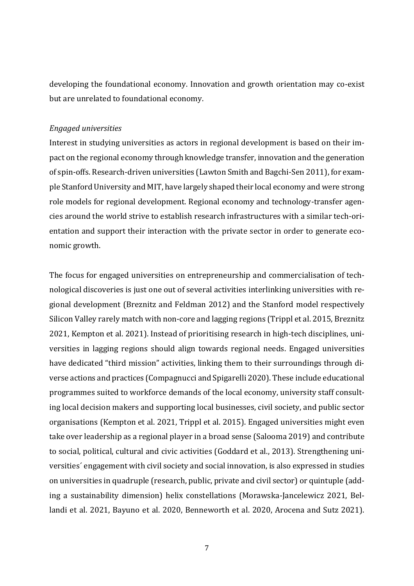developing the foundational economy. Innovation and growth orientation may co-exist but are unrelated to foundational economy.

### *Engaged universities*

Interest in studying universities as actors in regional development is based on their impact on the regional economy through knowledge transfer, innovation and the generation of spin-offs. Research-driven universities (Lawton Smith and Bagchi-Sen 2011), for example Stanford University and MIT, have largely shaped their local economy and were strong role models for regional development. Regional economy and technology-transfer agencies around the world strive to establish research infrastructures with a similar tech-orientation and support their interaction with the private sector in order to generate economic growth.

The focus for engaged universities on entrepreneurship and commercialisation of technological discoveries is just one out of several activities interlinking universities with regional development (Breznitz and Feldman 2012) and the Stanford model respectively Silicon Valley rarely match with non-core and lagging regions (Trippl et al. 2015, Breznitz 2021, Kempton et al. 2021). Instead of prioritising research in high-tech disciplines, universities in lagging regions should align towards regional needs. Engaged universities have dedicated "third mission" activities, linking them to their surroundings through diverse actions and practices (Compagnucci and Spigarelli 2020). These include educational programmes suited to workforce demands of the local economy, university staff consulting local decision makers and supporting local businesses, civil society, and public sector organisations (Kempton et al. 2021, Trippl et al. 2015). Engaged universities might even take over leadership as a regional player in a broad sense (Salooma 2019) and contribute to social, political, cultural and civic activities (Goddard et al., 2013). Strengthening universities´ engagement with civil society and social innovation, is also expressed in studies on universities in quadruple (research, public, private and civil sector) or quintuple (adding a sustainability dimension) helix constellations (Morawska-Jancelewicz 2021, Bellandi et al. 2021, Bayuno et al. 2020, Benneworth et al. 2020, Arocena and Sutz 2021).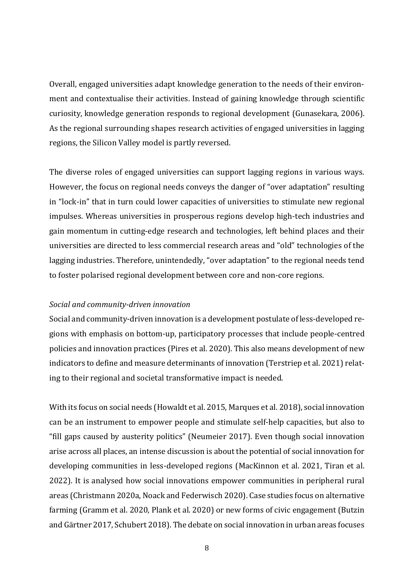Overall, engaged universities adapt knowledge generation to the needs of their environment and contextualise their activities. Instead of gaining knowledge through scientific curiosity, knowledge generation responds to regional development (Gunasekara, 2006). As the regional surrounding shapes research activities of engaged universities in lagging regions, the Silicon Valley model is partly reversed.

The diverse roles of engaged universities can support lagging regions in various ways. However, the focus on regional needs conveys the danger of "over adaptation" resulting in "lock-in" that in turn could lower capacities of universities to stimulate new regional impulses. Whereas universities in prosperous regions develop high-tech industries and gain momentum in cutting-edge research and technologies, left behind places and their universities are directed to less commercial research areas and "old" technologies of the lagging industries. Therefore, unintendedly, "over adaptation" to the regional needs tend to foster polarised regional development between core and non-core regions.

# *Social and community-driven innovation*

Social and community-driven innovation is a development postulate of less-developed regions with emphasis on bottom-up, participatory processes that include people-centred policies and innovation practices (Pires et al. 2020). This also means development of new indicators to define and measure determinants of innovation (Terstriep et al. 2021) relating to their regional and societal transformative impact is needed.

With its focus on social needs (Howaldt et al. 2015, Marques et al. 2018), social innovation can be an instrument to empower people and stimulate self-help capacities, but also to "fill gaps caused by austerity politics" (Neumeier 2017). Even though social innovation arise across all places, an intense discussion is about the potential of social innovation for developing communities in less-developed regions (MacKinnon et al. 2021, Tiran et al. 2022). It is analysed how social innovations empower communities in peripheral rural areas (Christmann 2020a, Noack and Federwisch 2020). Case studies focus on alternative farming (Gramm et al. 2020, Plank et al. 2020) or new forms of civic engagement (Butzin and Gärtner 2017, Schubert 2018). The debate on social innovation in urban areas focuses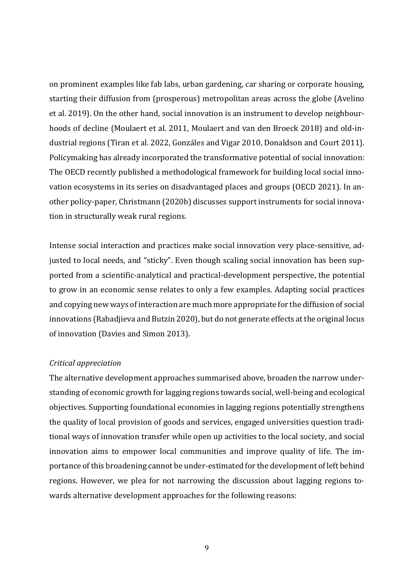on prominent examples like fab labs, urban gardening, car sharing or corporate housing, starting their diffusion from (prosperous) metropolitan areas across the globe (Avelino et al. 2019). On the other hand, social innovation is an instrument to develop neighbourhoods of decline (Moulaert et al. 2011, Moulaert and van den Broeck 2018) and old-industrial regions (Tiran et al. 2022, Gonzáles and Vigar 2010, Donaldson and Court 2011). Policymaking has already incorporated the transformative potential of social innovation: The OECD recently published a methodological framework for building local social innovation ecosystems in its series on disadvantaged places and groups (OECD 2021). In another policy-paper, Christmann (2020b) discusses support instruments for social innovation in structurally weak rural regions.

Intense social interaction and practices make social innovation very place-sensitive, adjusted to local needs, and "sticky". Even though scaling social innovation has been supported from a scientific-analytical and practical-development perspective, the potential to grow in an economic sense relates to only a few examples. Adapting social practices and copying new ways of interaction are much more appropriate for the diffusion of social innovations (Rabadjieva and Butzin 2020), but do not generate effects at the original locus of innovation (Davies and Simon 2013).

### *Critical appreciation*

The alternative development approaches summarised above, broaden the narrow understanding of economic growth for lagging regions towards social, well-being and ecological objectives. Supporting foundational economies in lagging regions potentially strengthens the quality of local provision of goods and services, engaged universities question traditional ways of innovation transfer while open up activities to the local society, and social innovation aims to empower local communities and improve quality of life. The importance of this broadening cannot be under-estimated for the development of left behind regions. However, we plea for not narrowing the discussion about lagging regions towards alternative development approaches for the following reasons: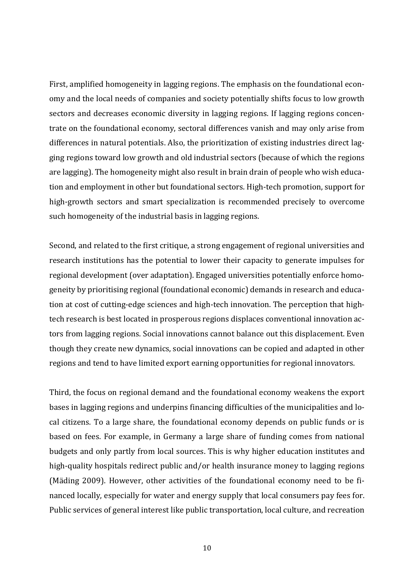First, amplified homogeneity in lagging regions. The emphasis on the foundational economy and the local needs of companies and society potentially shifts focus to low growth sectors and decreases economic diversity in lagging regions. If lagging regions concentrate on the foundational economy, sectoral differences vanish and may only arise from differences in natural potentials. Also, the prioritization of existing industries direct lagging regions toward low growth and old industrial sectors (because of which the regions are lagging). The homogeneity might also result in brain drain of people who wish education and employment in other but foundational sectors. High-tech promotion, support for high-growth sectors and smart specialization is recommended precisely to overcome such homogeneity of the industrial basis in lagging regions.

Second, and related to the first critique, a strong engagement of regional universities and research institutions has the potential to lower their capacity to generate impulses for regional development (over adaptation). Engaged universities potentially enforce homogeneity by prioritising regional (foundational economic) demands in research and education at cost of cutting-edge sciences and high-tech innovation. The perception that hightech research is best located in prosperous regions displaces conventional innovation actors from lagging regions. Social innovations cannot balance out this displacement. Even though they create new dynamics, social innovations can be copied and adapted in other regions and tend to have limited export earning opportunities for regional innovators.

Third, the focus on regional demand and the foundational economy weakens the export bases in lagging regions and underpins financing difficulties of the municipalities and local citizens. To a large share, the foundational economy depends on public funds or is based on fees. For example, in Germany a large share of funding comes from national budgets and only partly from local sources. This is why higher education institutes and high-quality hospitals redirect public and/or health insurance money to lagging regions (Mäding 2009). However, other activities of the foundational economy need to be financed locally, especially for water and energy supply that local consumers pay fees for. Public services of general interest like public transportation, local culture, and recreation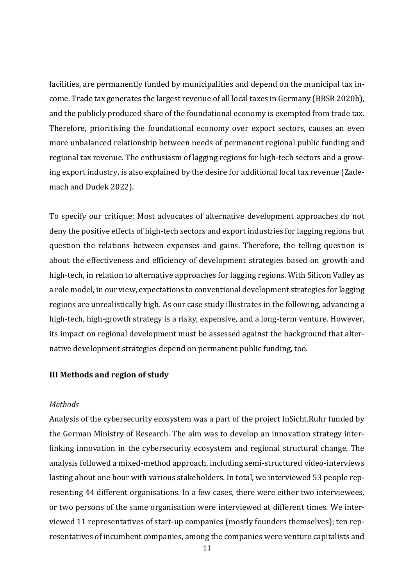facilities, are permanently funded by municipalities and depend on the municipal tax income. Trade tax generates the largest revenue of all local taxes in Germany (BBSR 2020b), and the publicly produced share of the foundational economy is exempted from trade tax. Therefore, prioritising the foundational economy over export sectors, causes an even more unbalanced relationship between needs of permanent regional public funding and regional tax revenue. The enthusiasm of lagging regions for high-tech sectors and a growing export industry, is also explained by the desire for additional local tax revenue (Zademach and Dudek 2022).

To specify our critique: Most advocates of alternative development approaches do not deny the positive effects of high-tech sectors and export industries for lagging regions but question the relations between expenses and gains. Therefore, the telling question is about the effectiveness and efficiency of development strategies based on growth and high-tech, in relation to alternative approaches for lagging regions. With Silicon Valley as a role model, in our view, expectations to conventional development strategies for lagging regions are unrealistically high. As our case study illustrates in the following, advancing a high-tech, high-growth strategy is a risky, expensive, and a long-term venture. However, its impact on regional development must be assessed against the background that alternative development strategies depend on permanent public funding, too.

### **III Methods and region of study**

#### *Methods*

Analysis of the cybersecurity ecosystem was a part of the project InSicht.Ruhr funded by the German Ministry of Research. The aim was to develop an innovation strategy interlinking innovation in the cybersecurity ecosystem and regional structural change. The analysis followed a mixed-method approach, including semi-structured video-interviews lasting about one hour with various stakeholders. In total, we interviewed 53 people representing 44 different organisations. In a few cases, there were either two interviewees, or two persons of the same organisation were interviewed at different times. We interviewed 11 representatives of start-up companies (mostly founders themselves); ten representatives of incumbent companies, among the companies were venture capitalists and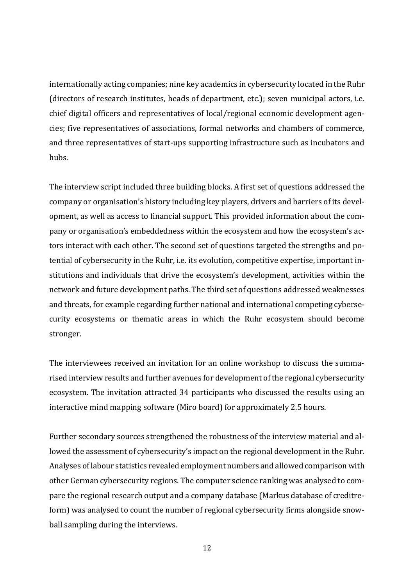internationally acting companies; nine key academics in cybersecurity located in the Ruhr (directors of research institutes, heads of department, etc.); seven municipal actors, i.e. chief digital officers and representatives of local/regional economic development agencies; five representatives of associations, formal networks and chambers of commerce, and three representatives of start-ups supporting infrastructure such as incubators and hubs.

The interview script included three building blocks. A first set of questions addressed the company or organisation's history including key players, drivers and barriers of its development, as well as access to financial support. This provided information about the company or organisation's embeddedness within the ecosystem and how the ecosystem's actors interact with each other. The second set of questions targeted the strengths and potential of cybersecurity in the Ruhr, i.e. its evolution, competitive expertise, important institutions and individuals that drive the ecosystem's development, activities within the network and future development paths. The third set of questions addressed weaknesses and threats, for example regarding further national and international competing cybersecurity ecosystems or thematic areas in which the Ruhr ecosystem should become stronger.

The interviewees received an invitation for an online workshop to discuss the summarised interview results and further avenues for development of the regional cybersecurity ecosystem. The invitation attracted 34 participants who discussed the results using an interactive mind mapping software (Miro board) for approximately 2.5 hours.

Further secondary sources strengthened the robustness of the interview material and allowed the assessment of cybersecurity's impact on the regional development in the Ruhr. Analyses of labour statistics revealed employment numbers and allowed comparison with other German cybersecurity regions. The computer science ranking was analysed to compare the regional research output and a company database (Markus database of creditreform) was analysed to count the number of regional cybersecurity firms alongside snowball sampling during the interviews.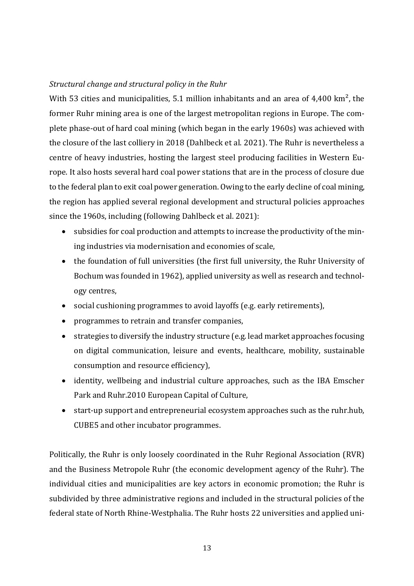# *Structural change and structural policy in the Ruhr*

With 53 cities and municipalities, 5.1 million inhabitants and an area of 4,400 km<sup>2</sup>, the former Ruhr mining area is one of the largest metropolitan regions in Europe. The complete phase-out of hard coal mining (which began in the early 1960s) was achieved with the closure of the last colliery in 2018 (Dahlbeck et al. 2021). The Ruhr is nevertheless a centre of heavy industries, hosting the largest steel producing facilities in Western Europe. It also hosts several hard coal power stations that are in the process of closure due to the federal plan to exit coal power generation. Owing to the early decline of coal mining, the region has applied several regional development and structural policies approaches since the 1960s, including (following Dahlbeck et al. 2021):

- subsidies for coal production and attempts to increase the productivity of the mining industries via modernisation and economies of scale,
- the foundation of full universities (the first full university, the Ruhr University of Bochum was founded in 1962), applied university as well as research and technology centres,
- social cushioning programmes to avoid layoffs (e.g. early retirements),
- programmes to retrain and transfer companies,
- strategies to diversify the industry structure (e.g. lead market approaches focusing on digital communication, leisure and events, healthcare, mobility, sustainable consumption and resource efficiency),
- identity, wellbeing and industrial culture approaches, such as the IBA Emscher Park and Ruhr.2010 European Capital of Culture,
- start-up support and entrepreneurial ecosystem approaches such as the ruhr.hub, CUBE5 and other incubator programmes.

Politically, the Ruhr is only loosely coordinated in the Ruhr Regional Association (RVR) and the Business Metropole Ruhr (the economic development agency of the Ruhr). The individual cities and municipalities are key actors in economic promotion; the Ruhr is subdivided by three administrative regions and included in the structural policies of the federal state of North Rhine-Westphalia. The Ruhr hosts 22 universities and applied uni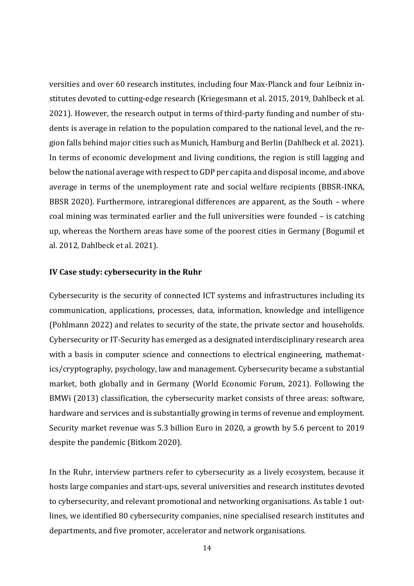versities and over 60 research institutes, including four Max-Planck and four Leibniz institutes devoted to cutting-edge research (Kriegesmann et al. 2015, 2019, Dahlbeck et al. 2021). However, the research output in terms of third-party funding and number of students is average in relation to the population compared to the national level, and the region falls behind major cities such as Munich, Hamburg and Berlin (Dahlbeck et al. 2021). In terms of economic development and living conditions, the region is still lagging and below the national average with respect to GDP per capita and disposal income, and above average in terms of the unemployment rate and social welfare recipients (BBSR-INKA, BBSR 2020). Furthermore, intraregional differences are apparent, as the South – where coal mining was terminated earlier and the full universities were founded – is catching up, whereas the Northern areas have some of the poorest cities in Germany (Bogumil et al. 2012, Dahlbeck et al. 2021).

# **IV Case study: cybersecurity in the Ruhr**

Cybersecurity is the security of connected ICT systems and infrastructures including its communication, applications, processes, data, information, knowledge and intelligence (Pohlmann 2022) and relates to security of the state, the private sector and households. Cybersecurity or IT-Security has emerged as a designated interdisciplinary research area with a basis in computer science and connections to electrical engineering, mathematics/cryptography, psychology, law and management. Cybersecurity became a substantial market, both globally and in Germany (World Economic Forum, 2021). Following the BMWi (2013) classification, the cybersecurity market consists of three areas: software, hardware and services and is substantially growing in terms of revenue and employment. Security market revenue was 5.3 billion Euro in 2020, a growth by 5.6 percent to 2019 despite the pandemic (Bitkom 2020).

In the Ruhr, interview partners refer to cybersecurity as a lively ecosystem, because it hosts large companies and start-ups, several universities and research institutes devoted to cybersecurity, and relevant promotional and networking organisations. As table 1 outlines, we identified 80 cybersecurity companies, nine specialised research institutes and departments, and five promoter, accelerator and network organisations.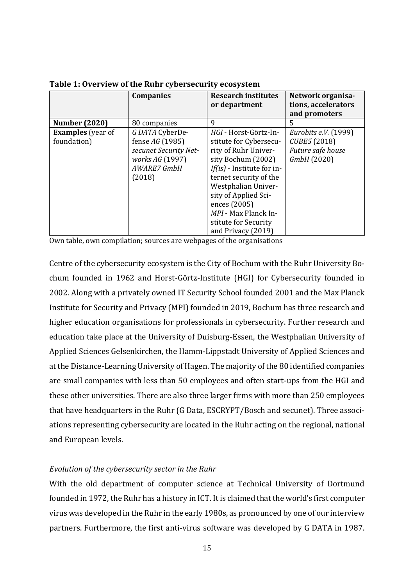|                          | <b>Companies</b>      | <b>Research institutes</b>  | Network organisa-    |
|--------------------------|-----------------------|-----------------------------|----------------------|
|                          |                       | or department               | tions, accelerators  |
|                          |                       |                             | and promoters        |
| <b>Number (2020)</b>     | 80 companies          | 9                           | 5                    |
| <b>Examples</b> (year of | G DATA CyberDe-       | HGI - Horst-Görtz-In-       | Eurobits e.V. (1999) |
| foundation)              | fense AG (1985)       | stitute for Cybersecu-      | CUBE5 (2018)         |
|                          | secunet Security Net- | rity of Ruhr Univer-        | Future safe house    |
|                          | works AG (1997)       | sity Bochum (2002)          | GmbH (2020)          |
|                          | AWARE7 GmbH           | If(is) - Institute for in-  |                      |
|                          | (2018)                | ternet security of the      |                      |
|                          |                       | Westphalian Univer-         |                      |
|                          |                       | sity of Applied Sci-        |                      |
|                          |                       | ences (2005)                |                      |
|                          |                       | <i>MPI</i> - Max Planck In- |                      |
|                          |                       | stitute for Security        |                      |
|                          |                       | and Privacy (2019)          |                      |

**Table 1: Overview of the Ruhr cybersecurity ecosystem**

Own table, own compilation; sources are webpages of the organisations

Centre of the cybersecurity ecosystem is the City of Bochum with the Ruhr University Bochum founded in 1962 and Horst-Görtz-Institute (HGI) for Cybersecurity founded in 2002. Along with a privately owned IT Security School founded 2001 and the Max Planck Institute for Security and Privacy (MPI) founded in 2019, Bochum has three research and higher education organisations for professionals in cybersecurity. Further research and education take place at the University of Duisburg-Essen, the Westphalian University of Applied Sciences Gelsenkirchen, the Hamm-Lippstadt University of Applied Sciences and at the Distance-Learning University of Hagen. The majority of the 80 identified companies are small companies with less than 50 employees and often start-ups from the HGI and these other universities. There are also three larger firms with more than 250 employees that have headquarters in the Ruhr (G Data, ESCRYPT/Bosch and secunet). Three associations representing cybersecurity are located in the Ruhr acting on the regional, national and European levels.

# *Evolution of the cybersecurity sector in the Ruhr*

With the old department of computer science at Technical University of Dortmund founded in 1972, the Ruhr has a history in ICT. It is claimed that the world's first computer virus was developed in the Ruhr in the early 1980s, as pronounced by one of our interview partners. Furthermore, the first anti-virus software was developed by G DATA in 1987.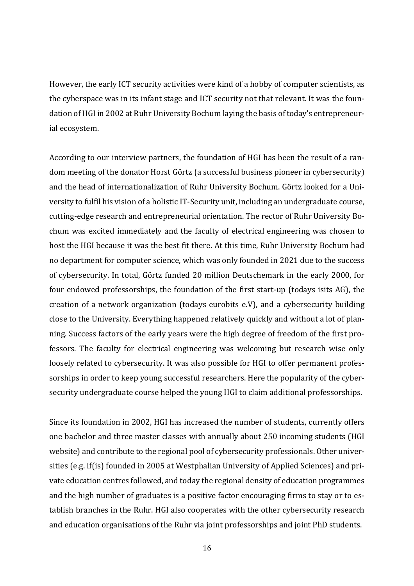However, the early ICT security activities were kind of a hobby of computer scientists, as the cyberspace was in its infant stage and ICT security not that relevant. It was the foundation of HGI in 2002 at Ruhr University Bochum laying the basis of today's entrepreneurial ecosystem.

According to our interview partners, the foundation of HGI has been the result of a random meeting of the donator Horst Görtz (a successful business pioneer in cybersecurity) and the head of internationalization of Ruhr University Bochum. Görtz looked for a University to fulfil his vision of a holistic IT-Security unit, including an undergraduate course, cutting-edge research and entrepreneurial orientation. The rector of Ruhr University Bochum was excited immediately and the faculty of electrical engineering was chosen to host the HGI because it was the best fit there. At this time, Ruhr University Bochum had no department for computer science, which was only founded in 2021 due to the success of cybersecurity. In total, Görtz funded 20 million Deutschemark in the early 2000, for four endowed professorships, the foundation of the first start-up (todays isits AG), the creation of a network organization (todays eurobits e.V), and a cybersecurity building close to the University. Everything happened relatively quickly and without a lot of planning. Success factors of the early years were the high degree of freedom of the first professors. The faculty for electrical engineering was welcoming but research wise only loosely related to cybersecurity. It was also possible for HGI to offer permanent professorships in order to keep young successful researchers. Here the popularity of the cybersecurity undergraduate course helped the young HGI to claim additional professorships.

Since its foundation in 2002, HGI has increased the number of students, currently offers one bachelor and three master classes with annually about 250 incoming students (HGI website) and contribute to the regional pool of cybersecurity professionals. Other universities (e.g. if(is) founded in 2005 at Westphalian University of Applied Sciences) and private education centres followed, and today the regional density of education programmes and the high number of graduates is a positive factor encouraging firms to stay or to establish branches in the Ruhr. HGI also cooperates with the other cybersecurity research and education organisations of the Ruhr via joint professorships and joint PhD students.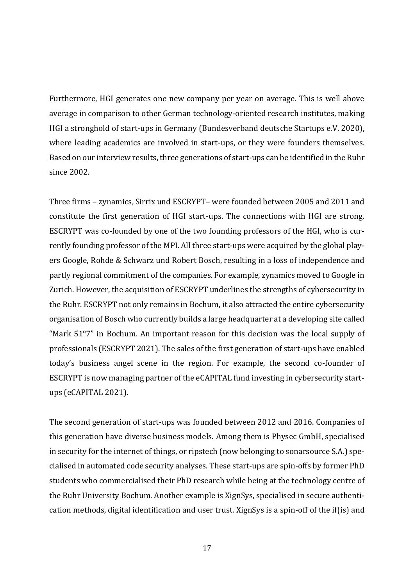Furthermore, HGI generates one new company per year on average. This is well above average in comparison to other German technology-oriented research institutes, making HGI a stronghold of start-ups in Germany (Bundesverband deutsche Startups e.V. 2020), where leading academics are involved in start-ups, or they were founders themselves. Based on our interview results, three generations of start-ups can be identified in the Ruhr since 2002.

Three firms – zynamics, Sirrix und ESCRYPT– were founded between 2005 and 2011 and constitute the first generation of HGI start-ups. The connections with HGI are strong. ESCRYPT was co-founded by one of the two founding professors of the HGI, who is currently founding professor of the MPI. All three start-ups were acquired by the global players Google, Rohde & Schwarz und Robert Bosch, resulting in a loss of independence and partly regional commitment of the companies. For example, zynamics moved to Google in Zurich. However, the acquisition of ESCRYPT underlines the strengths of cybersecurity in the Ruhr. ESCRYPT not only remains in Bochum, it also attracted the entire cybersecurity organisation of Bosch who currently builds a large headquarter at a developing site called "Mark 51°7" in Bochum. An important reason for this decision was the local supply of professionals (ESCRYPT 2021). The sales of the first generation of start-ups have enabled today's business angel scene in the region. For example, the second co-founder of ESCRYPT is now managing partner of the eCAPITAL fund investing in cybersecurity startups (eCAPITAL 2021).

The second generation of start-ups was founded between 2012 and 2016. Companies of this generation have diverse business models. Among them is Physec GmbH, specialised in security for the internet of things, or ripstech (now belonging to sonarsource S.A.) specialised in automated code security analyses. These start-ups are spin-offs by former PhD students who commercialised their PhD research while being at the technology centre of the Ruhr University Bochum. Another example is XignSys, specialised in secure authentication methods, digital identification and user trust. XignSys is a spin-off of the if(is) and

17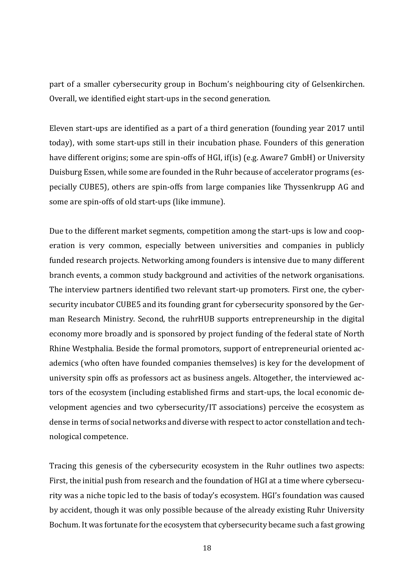part of a smaller cybersecurity group in Bochum's neighbouring city of Gelsenkirchen. Overall, we identified eight start-ups in the second generation.

Eleven start-ups are identified as a part of a third generation (founding year 2017 until today), with some start-ups still in their incubation phase. Founders of this generation have different origins; some are spin-offs of HGI, if(is) (e.g. Aware7 GmbH) or University Duisburg Essen, while some are founded in the Ruhr because of accelerator programs (especially CUBE5), others are spin-offs from large companies like Thyssenkrupp AG and some are spin-offs of old start-ups (like immune).

Due to the different market segments, competition among the start-ups is low and cooperation is very common, especially between universities and companies in publicly funded research projects. Networking among founders is intensive due to many different branch events, a common study background and activities of the network organisations. The interview partners identified two relevant start-up promoters. First one, the cybersecurity incubator CUBE5 and its founding grant for cybersecurity sponsored by the German Research Ministry. Second, the ruhrHUB supports entrepreneurship in the digital economy more broadly and is sponsored by project funding of the federal state of North Rhine Westphalia. Beside the formal promotors, support of entrepreneurial oriented academics (who often have founded companies themselves) is key for the development of university spin offs as professors act as business angels. Altogether, the interviewed actors of the ecosystem (including established firms and start-ups, the local economic development agencies and two cybersecurity/IT associations) perceive the ecosystem as dense in terms of social networks and diverse with respect to actor constellation and technological competence.

Tracing this genesis of the cybersecurity ecosystem in the Ruhr outlines two aspects: First, the initial push from research and the foundation of HGI at a time where cybersecurity was a niche topic led to the basis of today's ecosystem. HGI's foundation was caused by accident, though it was only possible because of the already existing Ruhr University Bochum. It was fortunate for the ecosystem that cybersecurity became such a fast growing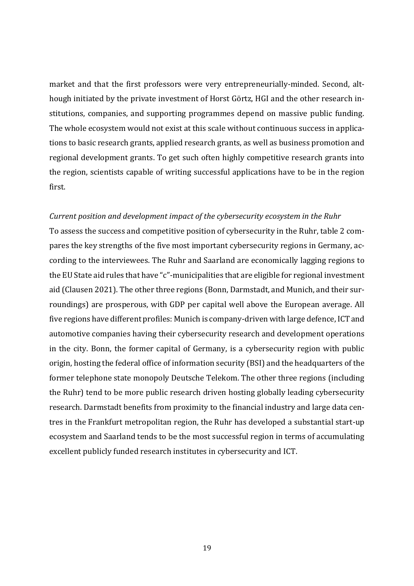market and that the first professors were very entrepreneurially-minded. Second, although initiated by the private investment of Horst Görtz, HGI and the other research institutions, companies, and supporting programmes depend on massive public funding. The whole ecosystem would not exist at this scale without continuous success in applications to basic research grants, applied research grants, as well as business promotion and regional development grants. To get such often highly competitive research grants into the region, scientists capable of writing successful applications have to be in the region first.

# *Current position and development impact of the cybersecurity ecosystem in the Ruhr*

To assess the success and competitive position of cybersecurity in the Ruhr, table 2 compares the key strengths of the five most important cybersecurity regions in Germany, according to the interviewees. The Ruhr and Saarland are economically lagging regions to the EU State aid rules that have "c"-municipalities that are eligible for regional investment aid (Clausen 2021). The other three regions (Bonn, Darmstadt, and Munich, and their surroundings) are prosperous, with GDP per capital well above the European average. All five regions have different profiles: Munich is company-driven with large defence, ICT and automotive companies having their cybersecurity research and development operations in the city. Bonn, the former capital of Germany, is a cybersecurity region with public origin, hosting the federal office of information security (BSI) and the headquarters of the former telephone state monopoly Deutsche Telekom. The other three regions (including the Ruhr) tend to be more public research driven hosting globally leading cybersecurity research. Darmstadt benefits from proximity to the financial industry and large data centres in the Frankfurt metropolitan region, the Ruhr has developed a substantial start-up ecosystem and Saarland tends to be the most successful region in terms of accumulating excellent publicly funded research institutes in cybersecurity and ICT.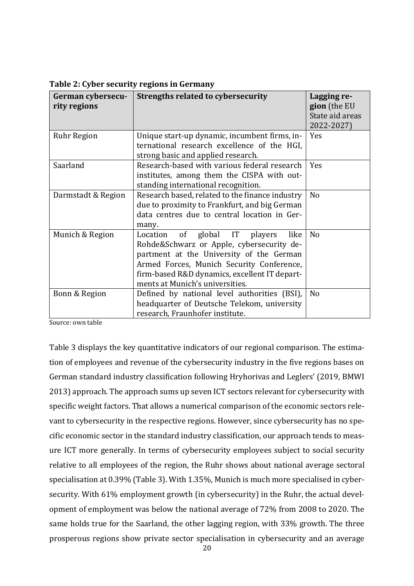| German cybersecu-<br>rity regions | <b>Strengths related to cybersecurity</b>                                                                                                                                                                                                                                | Lagging re-<br>gion (the EU<br>State aid areas<br>2022-2027) |
|-----------------------------------|--------------------------------------------------------------------------------------------------------------------------------------------------------------------------------------------------------------------------------------------------------------------------|--------------------------------------------------------------|
| <b>Ruhr Region</b>                | Unique start-up dynamic, incumbent firms, in-<br>ternational research excellence of the HGI,<br>strong basic and applied research.                                                                                                                                       | Yes                                                          |
| Saarland                          | Research-based with various federal research<br>institutes, among them the CISPA with out-<br>standing international recognition.                                                                                                                                        | Yes                                                          |
| Darmstadt & Region                | Research based, related to the finance industry<br>due to proximity to Frankfurt, and big German<br>data centres due to central location in Ger-<br>many.                                                                                                                | N <sub>o</sub>                                               |
| Munich & Region                   | global IT<br>of<br>like<br>Location<br>players<br>Rohde&Schwarz or Apple, cybersecurity de-<br>partment at the University of the German<br>Armed Forces, Munich Security Conference,<br>firm-based R&D dynamics, excellent IT depart-<br>ments at Munich's universities. | N <sub>o</sub>                                               |
| Bonn & Region                     | Defined by national level authorities (BSI),<br>headquarter of Deutsche Telekom, university<br>research, Fraunhofer institute.                                                                                                                                           | N <sub>o</sub>                                               |

**Table 2: Cyber security regions in Germany**

Source: own table

Table 3 displays the key quantitative indicators of our regional comparison. The estimation of employees and revenue of the cybersecurity industry in the five regions bases on German standard industry classification following Hryhorivas and Leglers' (2019, BMWI 2013) approach. The approach sums up seven ICT sectors relevant for cybersecurity with specific weight factors. That allows a numerical comparison of the economic sectors relevant to cybersecurity in the respective regions. However, since cybersecurity has no specific economic sector in the standard industry classification, our approach tends to measure ICT more generally. In terms of cybersecurity employees subject to social security relative to all employees of the region, the Ruhr shows about national average sectoral specialisation at 0.39% (Table 3). With 1.35%, Munich is much more specialised in cybersecurity. With 61% employment growth (in cybersecurity) in the Ruhr, the actual development of employment was below the national average of 72% from 2008 to 2020. The same holds true for the Saarland, the other lagging region, with 33% growth. The three prosperous regions show private sector specialisation in cybersecurity and an average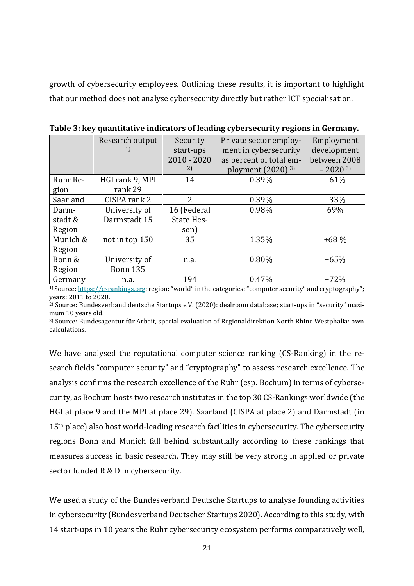growth of cybersecurity employees. Outlining these results, it is important to highlight that our method does not analyse cybersecurity directly but rather ICT specialisation.

|          | Research output | Security          | Private sector employ-          | Employment   |
|----------|-----------------|-------------------|---------------------------------|--------------|
|          | 1)              | start-ups         | ment in cybersecurity           | development  |
|          |                 | $2010 - 2020$     | as percent of total em-         | between 2008 |
|          |                 | 2)                | ployment $(2020)$ <sup>3)</sup> | $-20203$     |
| Ruhr Re- | HGI rank 9, MPI | 14                | 0.39%                           | $+61%$       |
| gion     | rank 29         |                   |                                 |              |
| Saarland | CISPA rank 2    | 2                 | 0.39%                           | $+33%$       |
| Darm-    | University of   | 16 (Federal       | 0.98%                           | 69%          |
| stadt &  | Darmstadt 15    | <b>State Hes-</b> |                                 |              |
| Region   |                 | sen)              |                                 |              |
| Munich & | not in top 150  | 35                | 1.35%                           | $+68%$       |
| Region   |                 |                   |                                 |              |
| Bonn &   | University of   | n.a.              | 0.80%                           | $+65%$       |
| Region   | <b>Bonn 135</b> |                   |                                 |              |
| Germany  | n.a.            | 194               | 0.47%                           | $+72%$       |

**Table 3: key quantitative indicators of leading cybersecurity regions in Germany.** 

1) Source: [https://csrankings.org](https://csrankings.org/): region: "world" in the categories: "computer security" and cryptography"; years: 2011 to 2020.

2) Source: Bundesverband deutsche Startups e.V. (2020): dealroom database; start-ups in "security" maximum 10 years old.

3) Source: Bundesagentur für Arbeit, special evaluation of Regionaldirektion North Rhine Westphalia: own calculations.

We have analysed the reputational computer science ranking (CS-Ranking) in the research fields "computer security" and "cryptography" to assess research excellence. The analysis confirms the research excellence of the Ruhr (esp. Bochum) in terms of cybersecurity, as Bochum hosts two research institutes in the top 30 CS-Rankings worldwide (the HGI at place 9 and the MPI at place 29). Saarland (CISPA at place 2) and Darmstadt (in 15<sup>th</sup> place) also host world-leading research facilities in cybersecurity. The cybersecurity regions Bonn and Munich fall behind substantially according to these rankings that measures success in basic research. They may still be very strong in applied or private sector funded R & D in cybersecurity.

We used a study of the Bundesverband Deutsche Startups to analyse founding activities in cybersecurity (Bundesverband Deutscher Startups 2020). According to this study, with 14 start-ups in 10 years the Ruhr cybersecurity ecosystem performs comparatively well,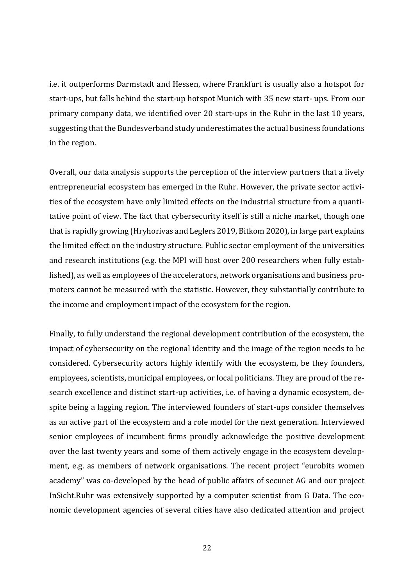i.e. it outperforms Darmstadt and Hessen, where Frankfurt is usually also a hotspot for start-ups, but falls behind the start-up hotspot Munich with 35 new start- ups. From our primary company data, we identified over 20 start-ups in the Ruhr in the last 10 years, suggesting that the Bundesverband study underestimates the actual business foundations in the region.

Overall, our data analysis supports the perception of the interview partners that a lively entrepreneurial ecosystem has emerged in the Ruhr. However, the private sector activities of the ecosystem have only limited effects on the industrial structure from a quantitative point of view. The fact that cybersecurity itself is still a niche market, though one that is rapidly growing (Hryhorivas and Leglers 2019, Bitkom 2020), in large part explains the limited effect on the industry structure. Public sector employment of the universities and research institutions (e.g. the MPI will host over 200 researchers when fully established), as well as employees of the accelerators, network organisations and business promoters cannot be measured with the statistic. However, they substantially contribute to the income and employment impact of the ecosystem for the region.

Finally, to fully understand the regional development contribution of the ecosystem, the impact of cybersecurity on the regional identity and the image of the region needs to be considered. Cybersecurity actors highly identify with the ecosystem, be they founders, employees, scientists, municipal employees, or local politicians. They are proud of the research excellence and distinct start-up activities, i.e. of having a dynamic ecosystem, despite being a lagging region. The interviewed founders of start-ups consider themselves as an active part of the ecosystem and a role model for the next generation. Interviewed senior employees of incumbent firms proudly acknowledge the positive development over the last twenty years and some of them actively engage in the ecosystem development, e.g. as members of network organisations. The recent project "eurobits women academy" was co-developed by the head of public affairs of secunet AG and our project InSicht.Ruhr was extensively supported by a computer scientist from G Data. The economic development agencies of several cities have also dedicated attention and project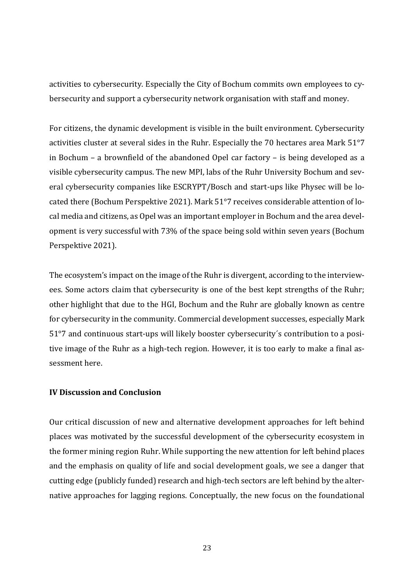activities to cybersecurity. Especially the City of Bochum commits own employees to cybersecurity and support a cybersecurity network organisation with staff and money.

For citizens, the dynamic development is visible in the built environment. Cybersecurity activities cluster at several sides in the Ruhr. Especially the 70 hectares area Mark 51°7 in Bochum – a brownfield of the abandoned Opel car factory – is being developed as a visible cybersecurity campus. The new MPI, labs of the Ruhr University Bochum and several cybersecurity companies like ESCRYPT/Bosch and start-ups like Physec will be located there (Bochum Perspektive 2021). Mark 51°7 receives considerable attention of local media and citizens, as Opel was an important employer in Bochum and the area development is very successful with 73% of the space being sold within seven years (Bochum Perspektive 2021).

The ecosystem's impact on the image of the Ruhr is divergent, according to the interviewees. Some actors claim that cybersecurity is one of the best kept strengths of the Ruhr; other highlight that due to the HGI, Bochum and the Ruhr are globally known as centre for cybersecurity in the community. Commercial development successes, especially Mark 51°7 and continuous start-ups will likely booster cybersecurity´s contribution to a positive image of the Ruhr as a high-tech region. However, it is too early to make a final assessment here.

# **IV Discussion and Conclusion**

Our critical discussion of new and alternative development approaches for left behind places was motivated by the successful development of the cybersecurity ecosystem in the former mining region Ruhr. While supporting the new attention for left behind places and the emphasis on quality of life and social development goals, we see a danger that cutting edge (publicly funded) research and high-tech sectors are left behind by the alternative approaches for lagging regions. Conceptually, the new focus on the foundational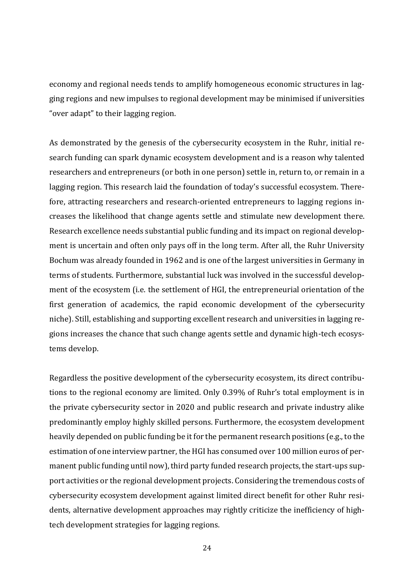economy and regional needs tends to amplify homogeneous economic structures in lagging regions and new impulses to regional development may be minimised if universities "over adapt" to their lagging region.

As demonstrated by the genesis of the cybersecurity ecosystem in the Ruhr, initial research funding can spark dynamic ecosystem development and is a reason why talented researchers and entrepreneurs (or both in one person) settle in, return to, or remain in a lagging region. This research laid the foundation of today's successful ecosystem. Therefore, attracting researchers and research-oriented entrepreneurs to lagging regions increases the likelihood that change agents settle and stimulate new development there. Research excellence needs substantial public funding and its impact on regional development is uncertain and often only pays off in the long term. After all, the Ruhr University Bochum was already founded in 1962 and is one of the largest universities in Germany in terms of students. Furthermore, substantial luck was involved in the successful development of the ecosystem (i.e. the settlement of HGI, the entrepreneurial orientation of the first generation of academics, the rapid economic development of the cybersecurity niche). Still, establishing and supporting excellent research and universities in lagging regions increases the chance that such change agents settle and dynamic high-tech ecosystems develop.

Regardless the positive development of the cybersecurity ecosystem, its direct contributions to the regional economy are limited. Only 0.39% of Ruhr's total employment is in the private cybersecurity sector in 2020 and public research and private industry alike predominantly employ highly skilled persons. Furthermore, the ecosystem development heavily depended on public funding be it for the permanent research positions (e.g., to the estimation of one interview partner, the HGI has consumed over 100 million euros of permanent public funding until now), third party funded research projects, the start-ups support activities or the regional development projects. Considering the tremendous costs of cybersecurity ecosystem development against limited direct benefit for other Ruhr residents, alternative development approaches may rightly criticize the inefficiency of hightech development strategies for lagging regions.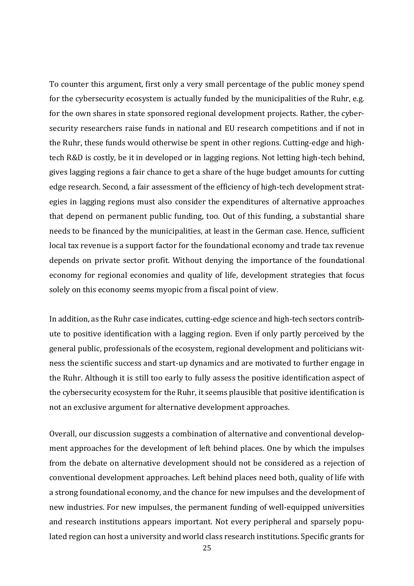To counter this argument, first only a very small percentage of the public money spend for the cybersecurity ecosystem is actually funded by the municipalities of the Ruhr, e.g. for the own shares in state sponsored regional development projects. Rather, the cybersecurity researchers raise funds in national and EU research competitions and if not in the Ruhr, these funds would otherwise be spent in other regions. Cutting-edge and hightech R&D is costly, be it in developed or in lagging regions. Not letting high-tech behind, gives lagging regions a fair chance to get a share of the huge budget amounts for cutting edge research. Second, a fair assessment of the efficiency of high-tech development strategies in lagging regions must also consider the expenditures of alternative approaches that depend on permanent public funding, too. Out of this funding, a substantial share needs to be financed by the municipalities, at least in the German case. Hence, sufficient local tax revenue is a support factor for the foundational economy and trade tax revenue depends on private sector profit. Without denying the importance of the foundational economy for regional economies and quality of life, development strategies that focus solely on this economy seems myopic from a fiscal point of view.

In addition, as the Ruhr case indicates, cutting-edge science and high-tech sectors contribute to positive identification with a lagging region. Even if only partly perceived by the general public, professionals of the ecosystem, regional development and politicians witness the scientific success and start-up dynamics and are motivated to further engage in the Ruhr. Although it is still too early to fully assess the positive identification aspect of the cybersecurity ecosystem for the Ruhr, it seems plausible that positive identification is not an exclusive argument for alternative development approaches.

Overall, our discussion suggests a combination of alternative and conventional development approaches for the development of left behind places. One by which the impulses from the debate on alternative development should not be considered as a rejection of conventional development approaches. Left behind places need both, quality of life with a strong foundational economy, and the chance for new impulses and the development of new industries. For new impulses, the permanent funding of well-equipped universities and research institutions appears important. Not every peripheral and sparsely populated region can host a university and world class research institutions. Specific grants for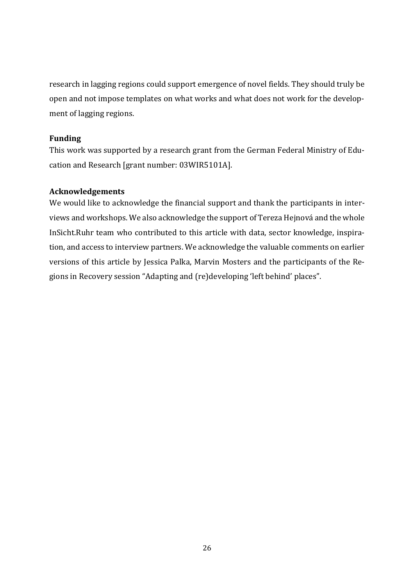research in lagging regions could support emergence of novel fields. They should truly be open and not impose templates on what works and what does not work for the development of lagging regions.

# **Funding**

This work was supported by a research grant from the German Federal Ministry of Education and Research [grant number: 03WIR5101A].

# **Acknowledgements**

We would like to acknowledge the financial support and thank the participants in interviews and workshops. We also acknowledge the support of Tereza Hejnová and the whole InSicht.Ruhr team who contributed to this article with data, sector knowledge, inspiration, and access to interview partners. We acknowledge the valuable comments on earlier versions of this article by Jessica Palka, Marvin Mosters and the participants of the Regions in Recovery session "Adapting and (re)developing 'left behind' places".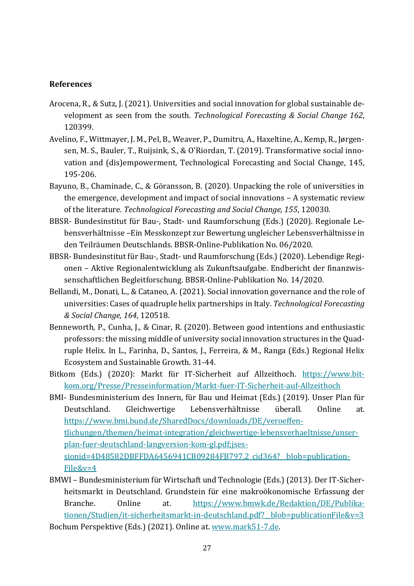# **References**

- Arocena, R., & Sutz, J. (2021). Universities and social innovation for global sustainable development as seen from the south. *Technological Forecasting & Social Change 162*, 120399.
- Avelino, F., Wittmayer, J. M., Pel, B., Weaver, P., Dumitru, A., Haxeltine, A., Kemp, R., Jørgensen, M. S., Bauler, T., Ruijsink, S., & O'Riordan, T. (2019). Transformative social innovation and (dis)empowerment, Technological Forecasting and Social Change, 145, 195-206.
- Bayuno, B., Chaminade, C., & Göransson, B. (2020). Unpacking the role of universities in the emergence, development and impact of social innovations – A systematic review of the literature. *Technological Forecasting and Social Change, 155*, 120030.
- BBSR- Bundesinstitut für Bau-, Stadt- und Raumforschung (Eds.) (2020). Regionale Lebensverhältnisse –Ein Messkonzept zur Bewertung ungleicher Lebensverhältnisse in den Teilräumen Deutschlands. BBSR-Online-Publikation No. 06/2020.
- BBSR- Bundesinstitut für Bau-, Stadt- und Raumforschung (Eds.) (2020). Lebendige Regionen – Aktive Regionalentwicklung als Zukunftsaufgabe. Endbericht der finanzwissenschaftlichen Begleitforschung. BBSR-Online-Publikation No. 14/2020.
- Bellandi, M., Donati, L., & Cataneo, A. (2021). Social innovation governance and the role of universities: Cases of quadruple helix partnerships in Italy. *Technological Forecasting & Social Change, 164*, 120518.
- Benneworth, P., Cunha, J., & Cinar, R. (2020). Between good intentions and enthusiastic professors: the missing middle of university social innovation structures in the Quadruple Helix. In L., Farinha, D., Santos, J., Ferreira, & M., Ranga (Eds.) Regional Helix Ecosystem and Sustainable Growth. 31-44.
- Bitkom (Eds.) (2020): Markt für IT-Sicherheit auf Allzeithoch. [https://www.bit](https://www.bitkom.org/Presse/Presseinformation/Markt-fuer-IT-Sicherheit-auf-Allzeithoch)[kom.org/Presse/Presseinformation/Markt-fuer-IT-Sicherheit-auf-Allzeithoch](https://www.bitkom.org/Presse/Presseinformation/Markt-fuer-IT-Sicherheit-auf-Allzeithoch)
- BMI- Bundesministerium des Innern, für Bau und Heimat (Eds.) (2019). Unser Plan für Deutschland. Gleichwertige Lebensverhältnisse überall. Online at. [https://www.bmi.bund.de/SharedDocs/downloads/DE/veroeffen](https://www.bmi.bund.de/SharedDocs/downloads/DE/veroeffentlichungen/themen/heimat-integration/gleichwertige-lebensverhaeltnisse/unser-plan-fuer-deutschland-langversion-kom-gl.pdf;jsessionid=4D48582DBFFDA6456941CB09284FB797.2_cid364?__blob=publicationFile&v=4)[tlichungen/themen/heimat-integration/gleichwertige-lebensverhaeltnisse/unser](https://www.bmi.bund.de/SharedDocs/downloads/DE/veroeffentlichungen/themen/heimat-integration/gleichwertige-lebensverhaeltnisse/unser-plan-fuer-deutschland-langversion-kom-gl.pdf;jsessionid=4D48582DBFFDA6456941CB09284FB797.2_cid364?__blob=publicationFile&v=4)[plan-fuer-deutschland-langversion-kom-gl.pdf;jses](https://www.bmi.bund.de/SharedDocs/downloads/DE/veroeffentlichungen/themen/heimat-integration/gleichwertige-lebensverhaeltnisse/unser-plan-fuer-deutschland-langversion-kom-gl.pdf;jsessionid=4D48582DBFFDA6456941CB09284FB797.2_cid364?__blob=publicationFile&v=4)sionid=4D48582DBFFDA6456941CB09284FB797.2\_cid364?\_blob=publication-[File&v=4](https://www.bmi.bund.de/SharedDocs/downloads/DE/veroeffentlichungen/themen/heimat-integration/gleichwertige-lebensverhaeltnisse/unser-plan-fuer-deutschland-langversion-kom-gl.pdf;jsessionid=4D48582DBFFDA6456941CB09284FB797.2_cid364?__blob=publicationFile&v=4)
- BMWI Bundesministerium für Wirtschaft und Technologie (Eds.) (2013). Der IT-Sicherheitsmarkt in Deutschland. Grundstein für eine makroökonomische Erfassung der Branche. Online at. [https://www.bmwk.de/Redaktion/DE/Publika](https://www.bmwk.de/Redaktion/DE/Publikationen/Studien/it-sicherheitsmarkt-in-deutschland.pdf?__blob=publicationFile&v=3)tionen/Studien/it-sicherheitsmarkt-in-deutschland.pdf? blob=publicationFile&v=3 Bochum Perspektive (Eds.) (2021). Online at. [www.mark51-7.de.](http://www.mark51-7.de/)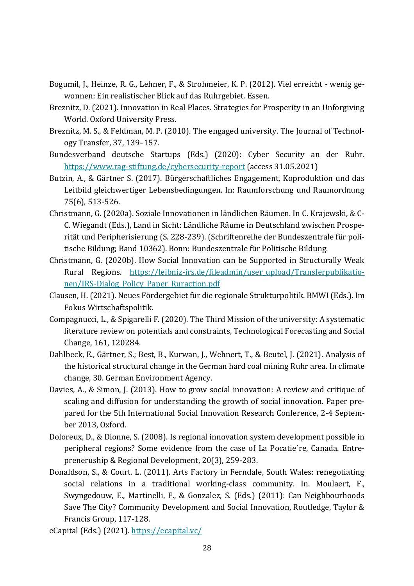- Bogumil, J., Heinze, R. G., Lehner, F., & Strohmeier, K. P. (2012). Viel erreicht wenig gewonnen: Ein realistischer Blick auf das Ruhrgebiet. Essen.
- Breznitz, D. (2021). Innovation in Real Places. Strategies for Prosperity in an Unforgiving World. Oxford University Press.
- Breznitz, M. S., & Feldman, M. P. (2010). The engaged university. The Journal of Technology Transfer, 37, 139–157.
- Bundesverband deutsche Startups (Eds.) (2020): Cyber Security an der Ruhr. <https://www.rag-stiftung.de/cybersecurity-report> (access 31.05.2021)
- Butzin, A., & Gärtner S. (2017). Bürgerschaftliches Engagement, Koproduktion und das Leitbild gleichwertiger Lebensbedingungen. In: Raumforschung und Raumordnung 75(6), 513-526.
- Christmann, G. (2020a). Soziale Innovationen in ländlichen Räumen. In C. Krajewski, & C-C. Wiegandt (Eds.), Land in Sicht: Ländliche Räume in Deutschland zwischen Prosperität und Peripherisierung (S. 228-239). (Schriftenreihe der Bundeszentrale für politische Bildung; Band 10362). Bonn: Bundeszentrale für Politische Bildung.
- Christmann, G. (2020b). How Social Innovation can be Supported in Structurally Weak Rural Regions. [https://leibniz-irs.de/fileadmin/user\\_upload/Transferpublikatio](https://leibniz-irs.de/fileadmin/user_upload/Transferpublikationen/IRS-Dialog_Policy_Paper_Ruraction.pdf)[nen/IRS-Dialog\\_Policy\\_Paper\\_Ruraction.pdf](https://leibniz-irs.de/fileadmin/user_upload/Transferpublikationen/IRS-Dialog_Policy_Paper_Ruraction.pdf)
- Clausen, H. (2021). Neues Fördergebiet für die regionale Strukturpolitik. BMWI (Eds.). Im Fokus Wirtschaftspolitik.
- Compagnucci, L., & Spigarelli F. (2020). The Third Mission of the university: A systematic literature review on potentials and constraints, Technological Forecasting and Social Change, 161, 120284.
- Dahlbeck, E., Gärtner, S.; Best, B., Kurwan, J., Wehnert, T., & Beutel, J. (2021). Analysis of the historical structural change in the German hard coal mining Ruhr area. In climate change, 30. German Environment Agency.
- Davies, A., & Simon, J. (2013). How to grow social innovation: A review and critique of scaling and diffusion for understanding the growth of social innovation. Paper prepared for the 5th International Social Innovation Research Conference, 2-4 September 2013, Oxford.
- Doloreux, D., & Dionne, S. (2008). Is regional innovation system development possible in peripheral regions? Some evidence from the case of La Pocatie`re, Canada. Entrepreneruship & Regional Development, 20(3), 259-283.
- Donaldson, S., & Court. L. (2011). Arts Factory in Ferndale, South Wales: renegotiating social relations in a traditional working-class community. In. Moulaert, F., Swyngedouw, E., Martinelli, F., & Gonzalez, S. (Eds.) (2011): Can Neighbourhoods Save The City? Community Development and Social Innovation, Routledge, Taylor & Francis Group, 117-128.
- eCapital (Eds.) (2021).<https://ecapital.vc/>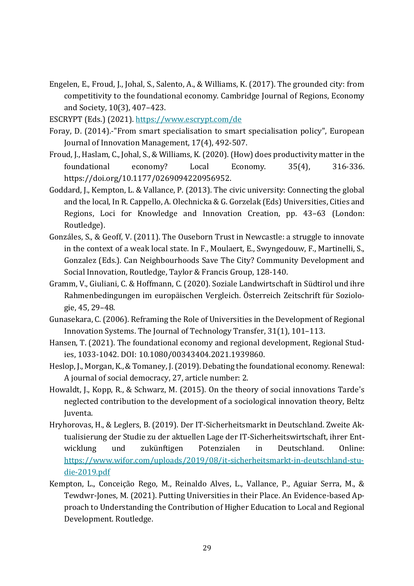- Engelen, E., Froud, J., Johal, S., Salento, A., & Williams, K. (2017). The grounded city: from competitivity to the foundational economy. Cambridge Journal of Regions, Economy and Society, 10(3), 407–423.
- ESCRYPT (Eds.) (2021).<https://www.escrypt.com/de>
- Foray, D. (2014).-"From smart specialisation to smart specialisation policy", European Journal of Innovation Management, 17(4), 492-507.
- Froud, J., Haslam, C., Johal, S., & Williams, K. (2020). (How) does productivity matter in the foundational economy? Local Economy. 35(4), 316-336. https://doi.org/10.1177/0269094220956952.
- Goddard, J., Kempton, L. & Vallance, P. (2013). The civic university: Connecting the global and the local, In R. Cappello, A. Olechnicka & G. Gorzelak (Eds) Universities, Cities and Regions, Loci for Knowledge and Innovation Creation, pp. 43–63 (London: Routledge).
- Gonzáles, S., & Geoff, V. (2011). The Ouseborn Trust in Newcastle: a struggle to innovate in the context of a weak local state. In F., Moulaert, E., Swyngedouw, F., Martinelli, S., Gonzalez (Eds.). Can Neighbourhoods Save The City? Community Development and Social Innovation, Routledge, Taylor & Francis Group, 128-140.
- Gramm, V., Giuliani, C. & Hoffmann, C. (2020). Soziale Landwirtschaft in Südtirol und ihre Rahmenbedingungen im europäischen Vergleich. Österreich Zeitschrift für Soziologie, 45, 29–48.
- Gunasekara, C. (2006). Reframing the Role of Universities in the Development of Regional Innovation Systems. The Journal of Technology Transfer, 31(1), 101–113.
- Hansen, T. (2021). The foundational economy and regional development, Regional Studies, 1033-1042. DOI: 10.1080/00343404.2021.1939860.
- Heslop, J., Morgan, K., & Tomaney, J. (2019). Debating the foundational economy. Renewal: A journal of social democracy, 27, article number: 2.
- Howaldt, J., Kopp, R., & Schwarz, M. (2015). On the theory of social innovations Tarde's neglected contribution to the development of a sociological innovation theory, Beltz Juventa.
- Hryhorovas, H., & Leglers, B. (2019). Der IT-Sicherheitsmarkt in Deutschland. Zweite Aktualisierung der Studie zu der aktuellen Lage der IT-Sicherheitswirtschaft, ihrer Entwicklung und zukünftigen Potenzialen in Deutschland. Online: [https://www.wifor.com/uploads/2019/08/it-sicherheitsmarkt-in-deutschland-stu](https://www.wifor.com/uploads/2019/08/it-sicherheitsmarkt-in-deutschland-studie-2019.pdf)[die-2019.pdf](https://www.wifor.com/uploads/2019/08/it-sicherheitsmarkt-in-deutschland-studie-2019.pdf)
- Kempton, L., Conceição Rego, M., Reinaldo Alves, L., Vallance, P., Aguiar Serra, M., & Tewdwr-Jones, M. (2021). Putting Universities in their Place. An Evidence-based Approach to Understanding the Contribution of Higher Education to Local and Regional Development. Routledge.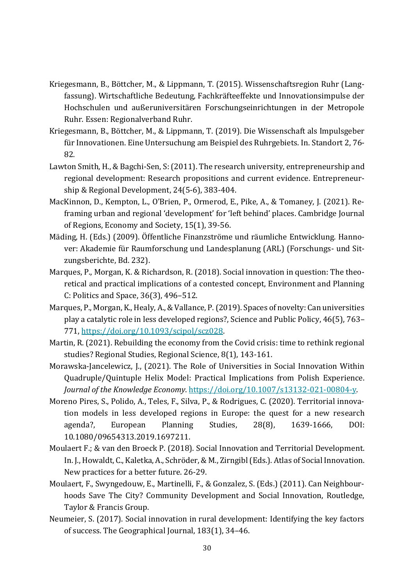- Kriegesmann, B., Böttcher, M., & Lippmann, T. (2015). Wissenschaftsregion Ruhr (Langfassung). Wirtschaftliche Bedeutung, Fachkräfteeffekte und Innovationsimpulse der Hochschulen und außeruniversitären Forschungseinrichtungen in der Metropole Ruhr. Essen: Regionalverband Ruhr.
- Kriegesmann, B., Böttcher, M., & Lippmann, T. (2019). Die Wissenschaft als Impulsgeber für Innovationen. Eine Untersuchung am Beispiel des Ruhrgebiets. In. Standort 2, 76- 82.
- Lawton Smith, H., & Bagchi-Sen, S: (2011). The research university, entrepreneurship and regional development: Research propositions and current evidence. Entrepreneurship & Regional Development, 24(5-6), 383-404.
- MacKinnon, D., Kempton, L., O'Brien, P., Ormerod, E., Pike, A., & Tomaney, J. (2021). Reframing urban and regional 'development' for 'left behind' places. Cambridge Journal of Regions, Economy and Society, 15(1), 39-56.
- Mäding, H. (Eds.) (2009). Öffentliche Finanzströme und räumliche Entwicklung. Hannover: Akademie für Raumforschung und Landesplanung (ARL) (Forschungs- und Sitzungsberichte, Bd. 232).
- Marques, P., Morgan, K. & Richardson, R. (2018). Social innovation in question: The theoretical and practical implications of a contested concept, Environment and Planning C: Politics and Space, 36(3), 496–512.
- Marques, P., Morgan, K., Healy, A., & Vallance, P. (2019). Spaces of novelty: Can universities play a catalytic role in less developed regions?, Science and Public Policy, 46(5), 763– 771, [https://doi.org/10.1093/scipol/scz028.](https://doi.org/10.1093/scipol/scz028)
- Martin, R. (2021). Rebuilding the economy from the Covid crisis: time to rethink regional studies? Regional Studies, Regional Science, 8(1), 143-161.
- Morawska-Jancelewicz, J., (2021). The Role of Universities in Social Innovation Within Quadruple/Quintuple Helix Model: Practical Implications from Polish Experience. *Journal of the Knowledge Economy*. [https://doi.org/10.1007/s13132-021-00804-y.](https://doi.org/10.1007/s13132-021-00804-y)
- Moreno Pires, S., Polido, A., Teles, F., Silva, P., & Rodrigues, C. (2020). Territorial innovation models in less developed regions in Europe: the quest for a new research agenda?, European Planning Studies, 28(8), 1639-1666, DOI: 10.1080/09654313.2019.1697211.
- Moulaert F.; & van den Broeck P. (2018). Social Innovation and Territorial Development. In. J., Howaldt, C., Kaletka, A., Schröder, & M., Zirngibl (Eds.). Atlas of Social Innovation. New practices for a better future. 26-29.
- Moulaert, F., Swyngedouw, E., Martinelli, F., & Gonzalez, S. (Eds.) (2011). Can Neighbourhoods Save The City? Community Development and Social Innovation, Routledge, Taylor & Francis Group.
- Neumeier, S. (2017). Social innovation in rural development: Identifying the key factors of success. The Geographical Journal, 183(1), 34–46.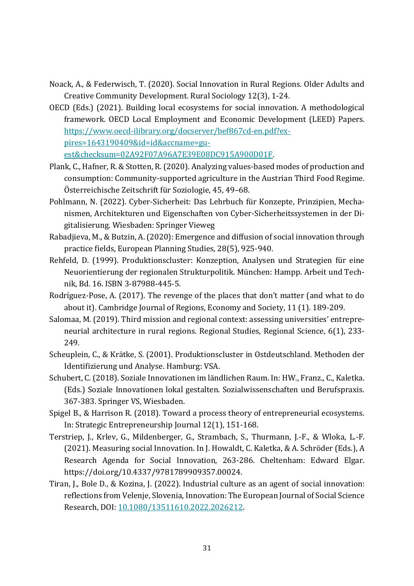- Noack, A., & Federwisch, T. (2020). Social Innovation in Rural Regions. Older Adults and Creative Community Development. Rural Sociology 12(3), 1-24.
- OECD (Eds.) (2021). Building local ecosystems for social innovation. A methodological framework. OECD Local Employment and Economic Development (LEED) Papers. [https://www.oecd-ilibrary.org/docserver/bef867cd-en.pdf?ex](https://www.oecd-ilibrary.org/docserver/bef867cd-en.pdf?expires=1643190409&id=id&accname=guest&checksum=02A92F07A96A7E39E08DC915A900D01F)[pires=1643190409&id=id&accname=gu](https://www.oecd-ilibrary.org/docserver/bef867cd-en.pdf?expires=1643190409&id=id&accname=guest&checksum=02A92F07A96A7E39E08DC915A900D01F)[est&checksum=02A92F07A96A7E39E08DC915A900D01F.](https://www.oecd-ilibrary.org/docserver/bef867cd-en.pdf?expires=1643190409&id=id&accname=guest&checksum=02A92F07A96A7E39E08DC915A900D01F)
- Plank, C., Hafner, R. & Stotten, R. (2020). Analyzing values-based modes of production and consumption: Community-supported agriculture in the Austrian Third Food Regime. Österreichische Zeitschrift für Soziologie, 45, 49–68.
- Pohlmann, N. (2022). Cyber-Sicherheit: Das Lehrbuch für Konzepte, Prinzipien, Mechanismen, Architekturen und Eigenschaften von Cyber-Sicherheitssystemen in der Digitalisierung. Wiesbaden: Springer Vieweg
- Rabadjieva, M., & Butzin, A. (2020): Emergence and diffusion of social innovation through practice fields, European Planning Studies, 28(5), 925-940.
- Rehfeld, D. (1999). Produktionscluster: Konzeption, Analysen und Strategien für eine Neuorientierung der regionalen Strukturpolitik. München: Hampp. Arbeit und Technik, Bd. 16. ISBN 3-87988-445-5.
- Rodríguez-Pose, A. (2017). The revenge of the places that don't matter (and what to do about it). Cambridge Journal of Regions, Economy and Society, 11 (1). 189-209.
- Salomaa, M. (2019). Third mission and regional context: assessing universities' entrepreneurial architecture in rural regions. Regional Studies, Regional Science, 6(1), 233- 249.
- Scheuplein, C., & Krätke, S. (2001). Produktionscluster in Ostdeutschland. Methoden der Identifizierung und Analyse. Hamburg: VSA.
- Schubert, C. (2018). Soziale Innovationen im ländlichen Raum. In: HW., Franz., C., Kaletka. (Eds.) Soziale Innovationen lokal gestalten. Sozialwissenschaften und Berufspraxis. 367-383. Springer VS, Wiesbaden.
- Spigel B., & Harrison R. (2018). Toward a process theory of entrepreneurial ecosystems. In: Strategic Entrepreneurship Journal 12(1), 151-168.
- Terstriep, J., Krlev, G., Mildenberger, G., Strambach, S., Thurmann, J.-F., & Wloka, L.-F. (2021). Measuring social Innovation. In J. Howaldt, C. Kaletka, & A. Schröder (Eds.), A Research Agenda for Social Innovation, 263-286. Cheltenham: Edward Elgar. https://doi.org/10.4337/9781789909357.00024.
- Tiran, J., Bole D., & Kozina, J. (2022). Industrial culture as an agent of social innovation: reflections from Velenje, Slovenia, Innovation: The European Journal of Social Science Research, DOI: [10.1080/13511610.2022.2026212.](https://doi.org/10.1080/13511610.2022.2026212)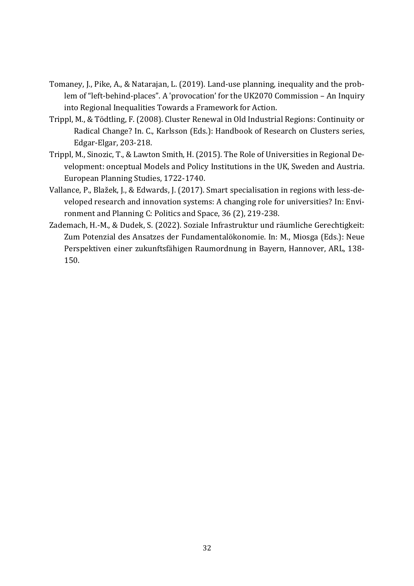- Tomaney, J., Pike, A., & Natarajan, L. (2019). Land-use planning, inequality and the problem of "left-behind-places". A 'provocation' for the UK2070 Commission – An Inquiry into Regional Inequalities Towards a Framework for Action.
- Trippl, M., & Tödtling, F. (2008). Cluster Renewal in Old Industrial Regions: Continuity or Radical Change? In. C., Karlsson (Eds.): Handbook of Research on Clusters series, Edgar-Elgar, 203-218.
- Trippl, M., Sinozic, T., & Lawton Smith, H. (2015). The Role of Universities in Regional Development: onceptual Models and Policy Institutions in the UK, Sweden and Austria. European Planning Studies, 1722-1740.
- Vallance, P., Blažek, J., & Edwards, J. (2017). Smart specialisation in regions with less-developed research and innovation systems: A changing role for universities? In: Environment and Planning C: Politics and Space, 36 (2), 219-238.
- Zademach, H.-M., & Dudek, S. (2022). Soziale Infrastruktur und räumliche Gerechtigkeit: Zum Potenzial des Ansatzes der Fundamentalökonomie. In: M., Miosga (Eds.): Neue Perspektiven einer zukunftsfähigen Raumordnung in Bayern, Hannover, ARL, 138- 150.